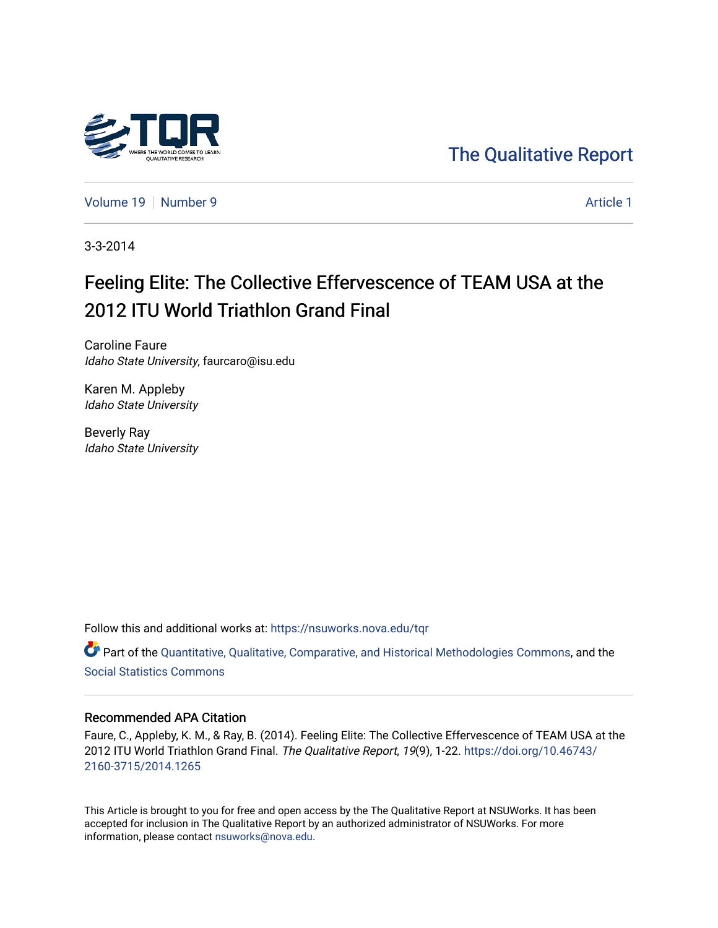

[The Qualitative Report](https://nsuworks.nova.edu/tqr) 

[Volume 19](https://nsuworks.nova.edu/tqr/vol19) [Number 9](https://nsuworks.nova.edu/tqr/vol19/iss9) [Article 1](https://nsuworks.nova.edu/tqr/vol19/iss9/1) Article 1

3-3-2014

# Feeling Elite: The Collective Effervescence of TEAM USA at the 2012 ITU World Triathlon Grand Final

Caroline Faure Idaho State University, faurcaro@isu.edu

Karen M. Appleby Idaho State University

Beverly Ray Idaho State University

Follow this and additional works at: [https://nsuworks.nova.edu/tqr](https://nsuworks.nova.edu/tqr?utm_source=nsuworks.nova.edu%2Ftqr%2Fvol19%2Fiss9%2F1&utm_medium=PDF&utm_campaign=PDFCoverPages) 

Part of the [Quantitative, Qualitative, Comparative, and Historical Methodologies Commons,](http://network.bepress.com/hgg/discipline/423?utm_source=nsuworks.nova.edu%2Ftqr%2Fvol19%2Fiss9%2F1&utm_medium=PDF&utm_campaign=PDFCoverPages) and the [Social Statistics Commons](http://network.bepress.com/hgg/discipline/1275?utm_source=nsuworks.nova.edu%2Ftqr%2Fvol19%2Fiss9%2F1&utm_medium=PDF&utm_campaign=PDFCoverPages) 

#### Recommended APA Citation

Faure, C., Appleby, K. M., & Ray, B. (2014). Feeling Elite: The Collective Effervescence of TEAM USA at the 2012 ITU World Triathlon Grand Final. The Qualitative Report, 19(9), 1-22. [https://doi.org/10.46743/](https://doi.org/10.46743/2160-3715/2014.1265) [2160-3715/2014.1265](https://doi.org/10.46743/2160-3715/2014.1265)

This Article is brought to you for free and open access by the The Qualitative Report at NSUWorks. It has been accepted for inclusion in The Qualitative Report by an authorized administrator of NSUWorks. For more information, please contact [nsuworks@nova.edu.](mailto:nsuworks@nova.edu)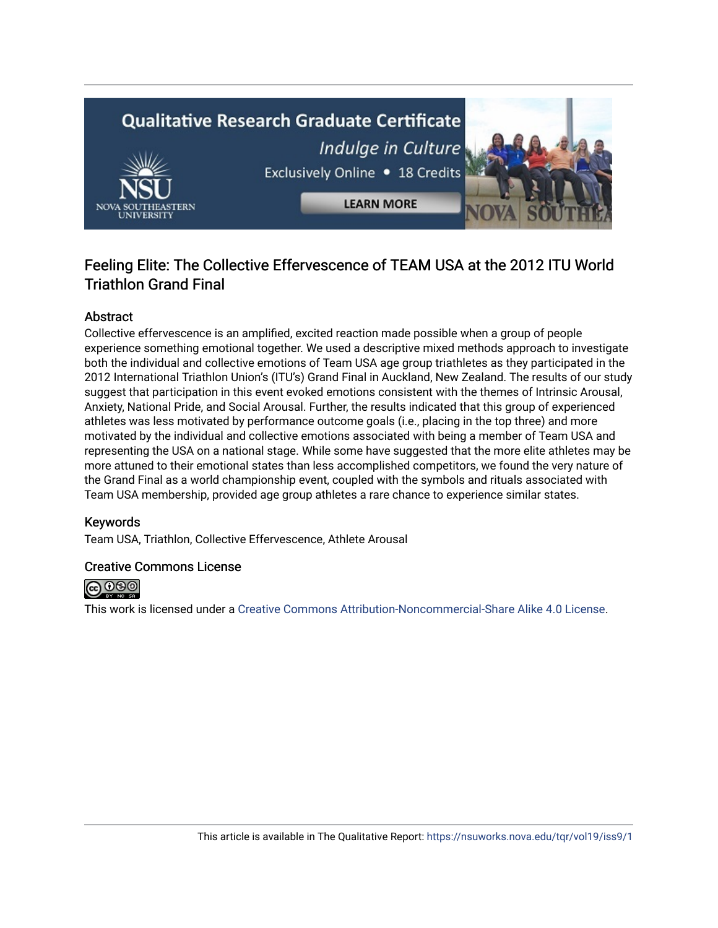# **Qualitative Research Graduate Certificate** Indulge in Culture Exclusively Online . 18 Credits **LEARN MORE**

# Feeling Elite: The Collective Effervescence of TEAM USA at the 2012 ITU World Triathlon Grand Final

## Abstract

Collective effervescence is an amplified, excited reaction made possible when a group of people experience something emotional together. We used a descriptive mixed methods approach to investigate both the individual and collective emotions of Team USA age group triathletes as they participated in the 2012 International Triathlon Union's (ITU's) Grand Final in Auckland, New Zealand. The results of our study suggest that participation in this event evoked emotions consistent with the themes of Intrinsic Arousal, Anxiety, National Pride, and Social Arousal. Further, the results indicated that this group of experienced athletes was less motivated by performance outcome goals (i.e., placing in the top three) and more motivated by the individual and collective emotions associated with being a member of Team USA and representing the USA on a national stage. While some have suggested that the more elite athletes may be more attuned to their emotional states than less accomplished competitors, we found the very nature of the Grand Final as a world championship event, coupled with the symbols and rituals associated with Team USA membership, provided age group athletes a rare chance to experience similar states.

## Keywords

Team USA, Triathlon, Collective Effervescence, Athlete Arousal

#### Creative Commons License



This work is licensed under a [Creative Commons Attribution-Noncommercial-Share Alike 4.0 License](https://creativecommons.org/licenses/by-nc-sa/4.0/).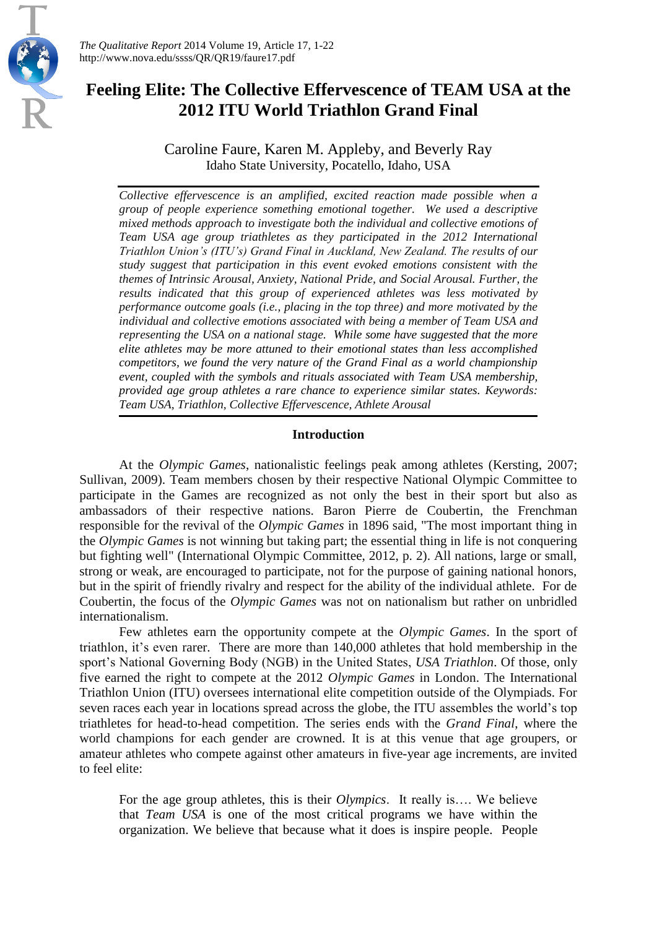

*The Qualitative Report* 2014 Volume 19, Article 17, 1-22 http://www.nova.edu/ssss/QR/QR19/faure17.pdf

# **Feeling Elite: The Collective Effervescence of TEAM USA at the 2012 ITU World Triathlon Grand Final**

Caroline Faure, Karen M. Appleby, and Beverly Ray Idaho State University, Pocatello, Idaho, USA

*Collective effervescence is an amplified, excited reaction made possible when a group of people experience something emotional together. We used a descriptive mixed methods approach to investigate both the individual and collective emotions of Team USA age group triathletes as they participated in the 2012 International Triathlon Union's (ITU's) Grand Final in Auckland, New Zealand. The results of our study suggest that participation in this event evoked emotions consistent with the themes of Intrinsic Arousal, Anxiety, National Pride, and Social Arousal. Further, the results indicated that this group of experienced athletes was less motivated by performance outcome goals (i.e., placing in the top three) and more motivated by the individual and collective emotions associated with being a member of Team USA and representing the USA on a national stage. While some have suggested that the more elite athletes may be more attuned to their emotional states than less accomplished competitors, we found the very nature of the Grand Final as a world championship event, coupled with the symbols and rituals associated with Team USA membership, provided age group athletes a rare chance to experience similar states. Keywords: Team USA, Triathlon, Collective Effervescence, Athlete Arousal*

#### **Introduction**

At the *Olympic Games*, nationalistic feelings peak among athletes (Kersting, 2007; Sullivan, 2009). Team members chosen by their respective National Olympic Committee to participate in the Games are recognized as not only the best in their sport but also as ambassadors of their respective nations. [Baron Pierre de Coubertin,](http://sportsillustrated.cnn.com/vault/topic/article/Pierre_de_Coubertin/1900-01-01/2100-12-31/mdd/index.htm) the Frenchman responsible for the revival of the *Olympic Games* in 1896 said, "The most important thing in the *Olympic Games* is not winning but taking part; the essential thing in life is not conquering but fighting well" (International Olympic Committee, 2012, p. 2). All nations, large or small, strong or weak, are encouraged to participate, not for the purpose of gaining national honors, but in the spirit of friendly rivalry and respect for the ability of the individual athlete. For de Coubertin, the focus of the *Olympic Games* was not on nationalism but rather on unbridled internationalism.

Few athletes earn the opportunity compete at the *Olympic Games*. In the sport of triathlon, it's even rarer. There are more than 140,000 athletes that hold membership in the sport's National Governing Body (NGB) in the United States, *USA Triathlon*. Of those, only five earned the right to compete at the 2012 *Olympic Games* in London. The International Triathlon Union (ITU) oversees international elite competition outside of the Olympiads. For seven races each year in locations spread across the globe, the ITU assembles the world's top triathletes for head-to-head competition. The series ends with the *Grand Final*, where the world champions for each gender are crowned. It is at this venue that age groupers, or amateur athletes who compete against other amateurs in five-year age increments, are invited to feel elite:

For the age group athletes, this is their *Olympics*. It really is…. We believe that *Team USA* is one of the most critical programs we have within the organization. We believe that because what it does is inspire people. People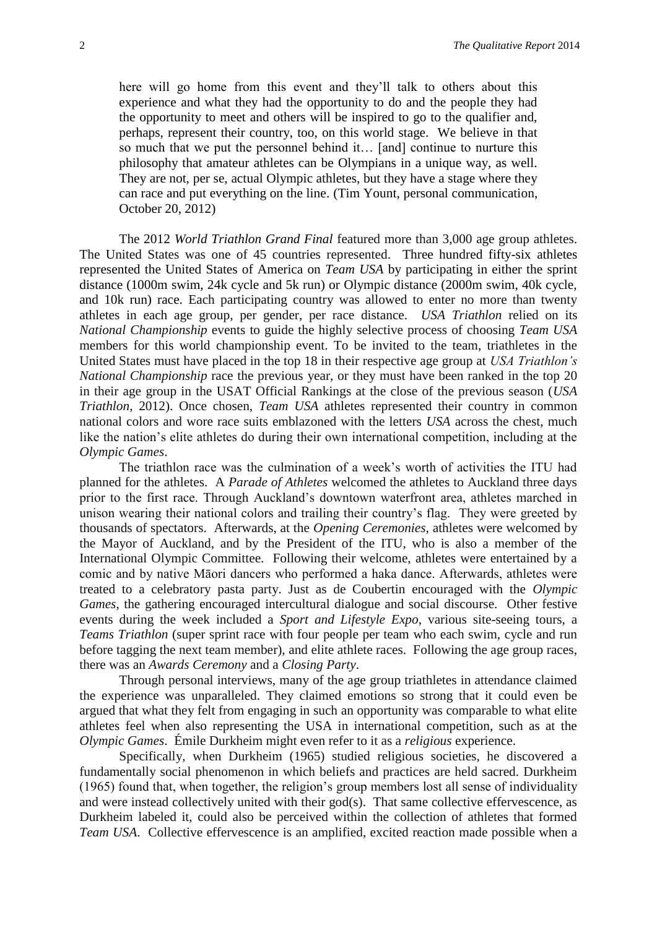here will go home from this event and they'll talk to others about this experience and what they had the opportunity to do and the people they had the opportunity to meet and others will be inspired to go to the qualifier and, perhaps, represent their country, too, on this world stage. We believe in that so much that we put the personnel behind it… [and] continue to nurture this philosophy that amateur athletes can be Olympians in a unique way, as well. They are not, per se, actual Olympic athletes, but they have a stage where they can race and put everything on the line. (Tim Yount, personal communication, October 20, 2012)

The 2012 *World Triathlon Grand Final* featured more than 3,000 age group athletes. The United States was one of 45 countries represented. Three hundred fifty-six athletes represented the United States of America on *Team USA* by participating in either the sprint distance (1000m swim, 24k cycle and 5k run) or Olympic distance (2000m swim, 40k cycle, and 10k run) race. Each participating country was allowed to enter no more than twenty athletes in each age group, per gender, per race distance. *USA Triathlon* relied on its *National Championship* events to guide the highly selective process of choosing *Team USA* members for this world championship event. To be invited to the team, triathletes in the United States must have placed in the top 18 in their respective age group at *USA Triathlon's National Championship* race the previous year, or they must have been ranked in the top 20 in their age group in the USAT Official Rankings at the close of the previous season (*USA Triathlon*, 2012). Once chosen, *Team USA* athletes represented their country in common national colors and wore race suits emblazoned with the letters *USA* across the chest, much like the nation's elite athletes do during their own international competition, including at the *Olympic Games*.

The triathlon race was the culmination of a week's worth of activities the ITU had planned for the athletes. A *Parade of Athletes* welcomed the athletes to Auckland three days prior to the first race. Through Auckland's downtown waterfront area, athletes marched in unison wearing their national colors and trailing their country's flag. They were greeted by thousands of spectators. Afterwards, at the *Opening Ceremonies*, athletes were welcomed by the Mayor of Auckland, and by the President of the ITU, who is also a member of the International Olympic Committee. Following their welcome, athletes were entertained by a comic and by native Māori dancers who performed a haka dance. Afterwards, athletes were treated to a celebratory pasta party. Just as de Coubertin encouraged with the *Olympic Games*, the gathering encouraged intercultural dialogue and social discourse. Other festive events during the week included a *Sport and Lifestyle Expo*, various site-seeing tours, a *Teams Triathlon* (super sprint race with four people per team who each swim, cycle and run before tagging the next team member), and elite athlete races. Following the age group races, there was an *Awards Ceremony* and a *Closing Party*.

Through personal interviews, many of the age group triathletes in attendance claimed the experience was unparalleled. They claimed emotions so strong that it could even be argued that what they felt from engaging in such an opportunity was comparable to what elite athletes feel when also representing the USA in international competition, such as at the *Olympic Games*. Émile Durkheim might even refer to it as a *religious* experience.

Specifically, when Durkheim (1965) studied religious societies, he discovered a fundamentally social phenomenon in which beliefs and practices are held sacred. Durkheim (1965) found that, when together, the religion's group members lost all sense of individuality and were instead collectively united with their god(s). That same collective effervescence, as Durkheim labeled it, could also be perceived within the collection of athletes that formed *Team USA*. Collective effervescence is an amplified, excited reaction made possible when a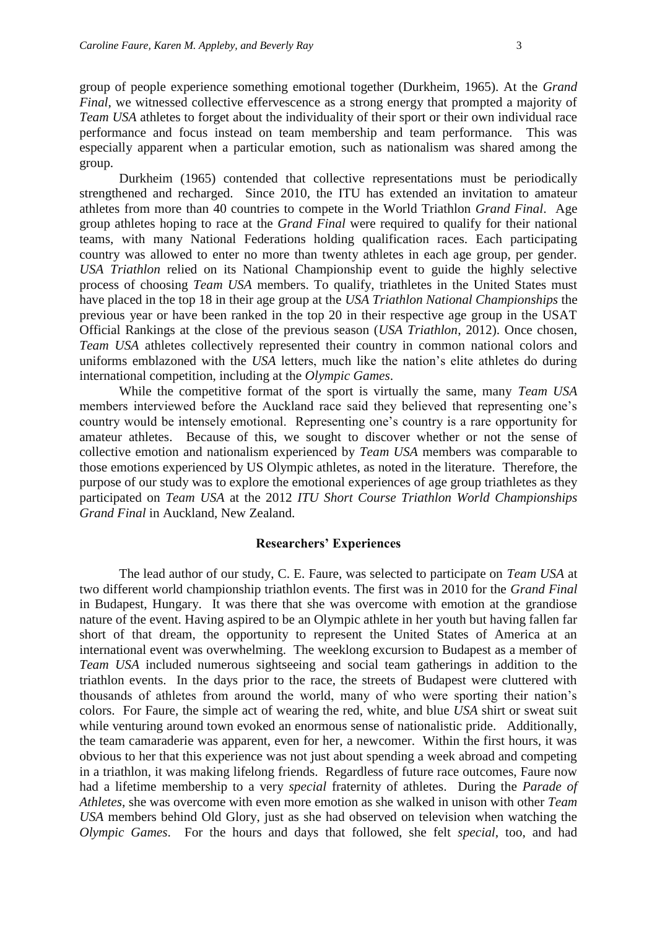group of people experience something emotional together (Durkheim, 1965). At the *Grand Final*, we witnessed collective effervescence as a strong energy that prompted a majority of *Team USA* athletes to forget about the individuality of their sport or their own individual race performance and focus instead on team membership and team performance. This was especially apparent when a particular emotion, such as nationalism was shared among the group.

Durkheim (1965) contended that collective representations must be periodically strengthened and recharged. Since 2010, the ITU has extended an invitation to amateur athletes from more than 40 countries to compete in the World Triathlon *Grand Final*. Age group athletes hoping to race at the *Grand Final* were required to qualify for their national teams, with many National Federations holding qualification races. Each participating country was allowed to enter no more than twenty athletes in each age group, per gender. *USA Triathlon* relied on its National Championship event to guide the highly selective process of choosing *Team USA* members. To qualify, triathletes in the United States must have placed in the top 18 in their age group at the *USA Triathlon National Championships* the previous year or have been ranked in the top 20 in their respective age group in the USAT Official Rankings at the close of the previous season (*USA Triathlon*, 2012). Once chosen, *Team USA* athletes collectively represented their country in common national colors and uniforms emblazoned with the *USA* letters, much like the nation's elite athletes do during international competition, including at the *Olympic Games*.

While the competitive format of the sport is virtually the same, many *Team USA* members interviewed before the Auckland race said they believed that representing one's country would be intensely emotional. Representing one's country is a rare opportunity for amateur athletes. Because of this, we sought to discover whether or not the sense of collective emotion and nationalism experienced by *Team USA* members was comparable to those emotions experienced by US Olympic athletes, as noted in the literature. Therefore, the purpose of our study was to explore the emotional experiences of age group triathletes as they participated on *Team USA* at the 2012 *ITU Short Course Triathlon World Championships Grand Final* in Auckland, New Zealand.

#### **Researchers' Experiences**

The lead author of our study, C. E. Faure, was selected to participate on *Team USA* at two different world championship triathlon events. The first was in 2010 for the *Grand Final* in Budapest, Hungary. It was there that she was overcome with emotion at the grandiose nature of the event. Having aspired to be an Olympic athlete in her youth but having fallen far short of that dream, the opportunity to represent the United States of America at an international event was overwhelming. The weeklong excursion to Budapest as a member of *Team USA* included numerous sightseeing and social team gatherings in addition to the triathlon events. In the days prior to the race, the streets of Budapest were cluttered with thousands of athletes from around the world, many of who were sporting their nation's colors. For Faure, the simple act of wearing the red, white, and blue *USA* shirt or sweat suit while venturing around town evoked an enormous sense of nationalistic pride. Additionally, the team camaraderie was apparent, even for her, a newcomer. Within the first hours, it was obvious to her that this experience was not just about spending a week abroad and competing in a triathlon, it was making lifelong friends. Regardless of future race outcomes, Faure now had a lifetime membership to a very *special* fraternity of athletes. During the *Parade of Athletes*, she was overcome with even more emotion as she walked in unison with other *Team USA* members behind Old Glory, just as she had observed on television when watching the *Olympic Games*. For the hours and days that followed, she felt *special*, too, and had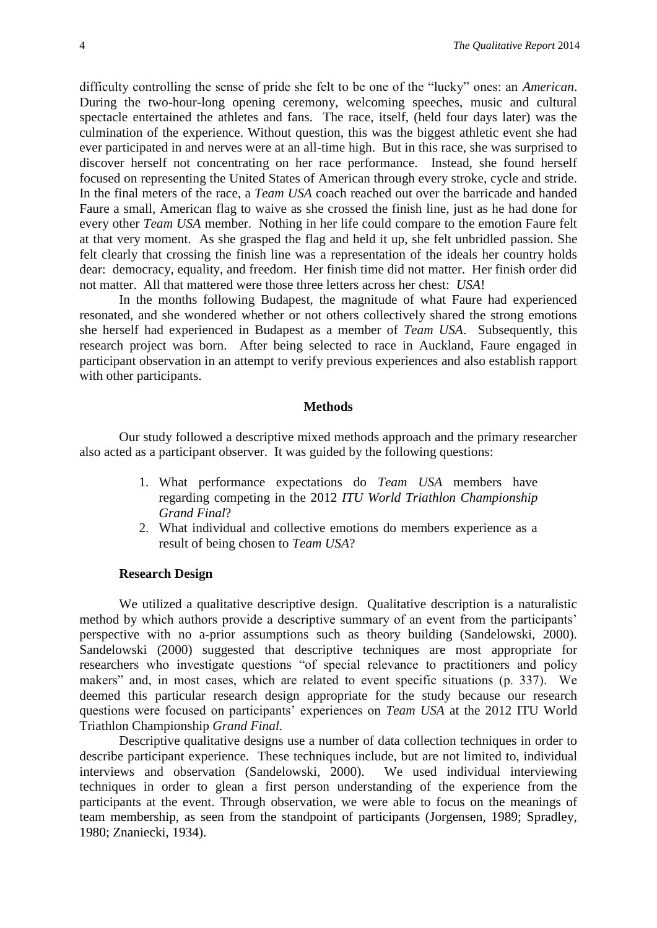difficulty controlling the sense of pride she felt to be one of the "lucky" ones: an *American*. During the two-hour-long opening ceremony, welcoming speeches, music and cultural spectacle entertained the athletes and fans. The race, itself, (held four days later) was the culmination of the experience. Without question, this was the biggest athletic event she had ever participated in and nerves were at an all-time high. But in this race, she was surprised to discover herself not concentrating on her race performance. Instead, she found herself focused on representing the United States of American through every stroke, cycle and stride. In the final meters of the race, a *Team USA* coach reached out over the barricade and handed Faure a small, American flag to waive as she crossed the finish line, just as he had done for every other *Team USA* member. Nothing in her life could compare to the emotion Faure felt at that very moment. As she grasped the flag and held it up, she felt unbridled passion. She felt clearly that crossing the finish line was a representation of the ideals her country holds dear: democracy, equality, and freedom. Her finish time did not matter. Her finish order did not matter. All that mattered were those three letters across her chest: *USA*!

In the months following Budapest, the magnitude of what Faure had experienced resonated, and she wondered whether or not others collectively shared the strong emotions she herself had experienced in Budapest as a member of *Team USA*. Subsequently, this research project was born. After being selected to race in Auckland, Faure engaged in participant observation in an attempt to verify previous experiences and also establish rapport with other participants.

#### **Methods**

Our study followed a descriptive mixed methods approach and the primary researcher also acted as a participant observer. It was guided by the following questions:

- 1. What performance expectations do *Team USA* members have regarding competing in the 2012 *ITU World Triathlon Championship Grand Final*?
- 2. What individual and collective emotions do members experience as a result of being chosen to *Team USA*?

#### **Research Design**

We utilized a qualitative descriptive design. Qualitative description is a naturalistic method by which authors provide a descriptive summary of an event from the participants' perspective with no a-prior assumptions such as theory building (Sandelowski, 2000). Sandelowski (2000) suggested that descriptive techniques are most appropriate for researchers who investigate questions "of special relevance to practitioners and policy makers" and, in most cases, which are related to event specific situations (p. 337). We deemed this particular research design appropriate for the study because our research questions were focused on participants' experiences on *Team USA* at the 2012 ITU World Triathlon Championship *Grand Final*.

Descriptive qualitative designs use a number of data collection techniques in order to describe participant experience. These techniques include, but are not limited to, individual interviews and observation (Sandelowski, 2000). We used individual interviewing techniques in order to glean a first person understanding of the experience from the participants at the event. Through observation, we were able to focus on the meanings of team membership, as seen from the standpoint of participants (Jorgensen, 1989; Spradley, 1980; Znaniecki, 1934).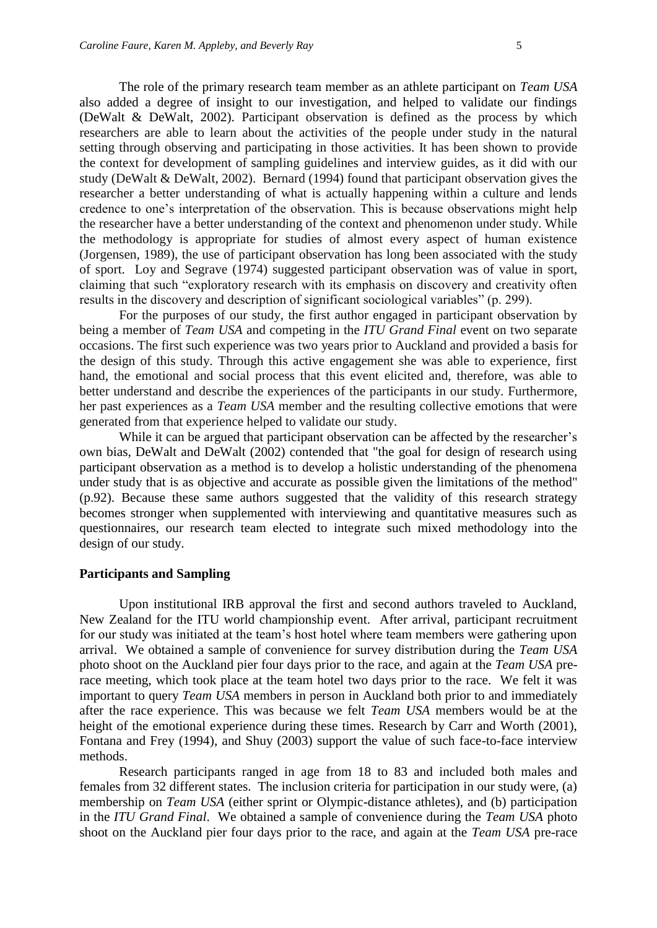The role of the primary research team member as an athlete participant on *Team USA* also added a degree of insight to our investigation, and helped to validate our findings (DeWalt & DeWalt, 2002). Participant observation is defined as the process by which researchers are able to learn about the activities of the people under study in the natural setting through observing and participating in those activities. It has been shown to provide the context for development of sampling guidelines and interview guides, as it did with our study (DeWalt & DeWalt, 2002). Bernard (1994) found that participant observation gives the researcher a better understanding of what is actually happening within a culture and lends credence to one's interpretation of the observation. This is because observations might help the researcher have a better understanding of the context and phenomenon under study. While the methodology is appropriate for studies of almost every aspect of human existence (Jorgensen, 1989), the use of participant observation has long been associated with the study of sport. Loy and Segrave (1974) suggested participant observation was of value in sport, claiming that such "exploratory research with its emphasis on discovery and creativity often results in the discovery and description of significant sociological variables" (p. 299).

For the purposes of our study, the first author engaged in participant observation by being a member of *Team USA* and competing in the *ITU Grand Final* event on two separate occasions. The first such experience was two years prior to Auckland and provided a basis for the design of this study. Through this active engagement she was able to experience, first hand, the emotional and social process that this event elicited and, therefore, was able to better understand and describe the experiences of the participants in our study. Furthermore, her past experiences as a *Team USA* member and the resulting collective emotions that were generated from that experience helped to validate our study.

While it can be argued that participant observation can be affected by the researcher's own bias, DeWalt and DeWalt (2002) contended that "the goal for design of research using participant observation as a method is to develop a holistic understanding of the phenomena under study that is as objective and accurate as possible given the limitations of the method" (p.92). Because these same authors suggested that the validity of this research strategy becomes stronger when supplemented with interviewing and quantitative measures such as questionnaires, our research team elected to integrate such mixed methodology into the design of our study.

#### **Participants and Sampling**

Upon institutional IRB approval the first and second authors traveled to Auckland, New Zealand for the ITU world championship event. After arrival, participant recruitment for our study was initiated at the team's host hotel where team members were gathering upon arrival. We obtained a sample of convenience for survey distribution during the *Team USA* photo shoot on the Auckland pier four days prior to the race, and again at the *Team USA* prerace meeting, which took place at the team hotel two days prior to the race. We felt it was important to query *Team USA* members in person in Auckland both prior to and immediately after the race experience. This was because we felt *Team USA* members would be at the height of the emotional experience during these times. Research by Carr and Worth (2001), Fontana and Frey (1994), and Shuy (2003) support the value of such face-to-face interview methods.

Research participants ranged in age from 18 to 83 and included both males and females from 32 different states. The inclusion criteria for participation in our study were, (a) membership on *Team USA* (either sprint or Olympic-distance athletes), and (b) participation in the *ITU Grand Final*. We obtained a sample of convenience during the *Team USA* photo shoot on the Auckland pier four days prior to the race, and again at the *Team USA* pre-race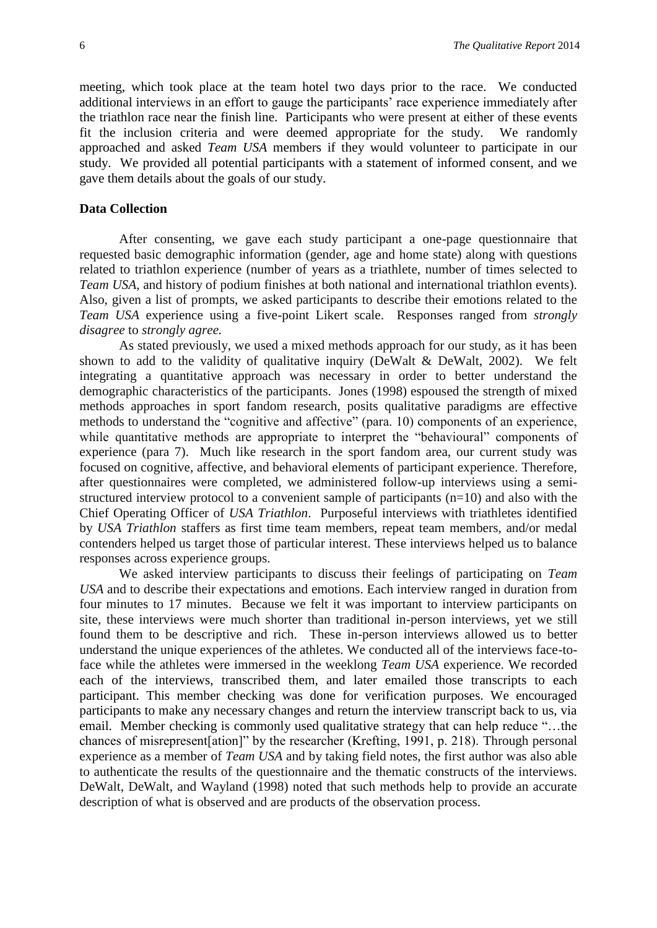meeting, which took place at the team hotel two days prior to the race. We conducted additional interviews in an effort to gauge the participants' race experience immediately after the triathlon race near the finish line. Participants who were present at either of these events fit the inclusion criteria and were deemed appropriate for the study. We randomly approached and asked *Team USA* members if they would volunteer to participate in our study. We provided all potential participants with a statement of informed consent, and we gave them details about the goals of our study.

#### **Data Collection**

After consenting, we gave each study participant a one-page questionnaire that requested basic demographic information (gender, age and home state) along with questions related to triathlon experience (number of years as a triathlete, number of times selected to *Team USA*, and history of podium finishes at both national and international triathlon events). Also, given a list of prompts, we asked participants to describe their emotions related to the *Team USA* experience using a five-point Likert scale. Responses ranged from *strongly disagree* to *strongly agree.* 

As stated previously, we used a mixed methods approach for our study, as it has been shown to add to the validity of qualitative inquiry (DeWalt & DeWalt, 2002). We felt integrating a quantitative approach was necessary in order to better understand the demographic characteristics of the participants. Jones (1998) espoused the strength of mixed methods approaches in sport fandom research, posits qualitative paradigms are effective methods to understand the "cognitive and affective" (para. 10) components of an experience, while quantitative methods are appropriate to interpret the "behavioural" components of experience (para 7). Much like research in the sport fandom area, our current study was focused on cognitive, affective, and behavioral elements of participant experience. Therefore, after questionnaires were completed, we administered follow-up interviews using a semistructured interview protocol to a convenient sample of participants (n=10) and also with the Chief Operating Officer of *USA Triathlon*. Purposeful interviews with triathletes identified by *USA Triathlon* staffers as first time team members, repeat team members, and/or medal contenders helped us target those of particular interest. These interviews helped us to balance responses across experience groups.

We asked interview participants to discuss their feelings of participating on *Team USA* and to describe their expectations and emotions. Each interview ranged in duration from four minutes to 17 minutes. Because we felt it was important to interview participants on site, these interviews were much shorter than traditional in-person interviews, yet we still found them to be descriptive and rich. These in-person interviews allowed us to better understand the unique experiences of the athletes. We conducted all of the interviews face-toface while the athletes were immersed in the weeklong *Team USA* experience. We recorded each of the interviews, transcribed them, and later emailed those transcripts to each participant. This member checking was done for verification purposes. We encouraged participants to make any necessary changes and return the interview transcript back to us, via email. Member checking is commonly used qualitative strategy that can help reduce "…the chances of misrepresent[ation]" by the researcher (Krefting, 1991, p. 218). Through personal experience as a member of *Team USA* and by taking field notes, the first author was also able to authenticate the results of the questionnaire and the thematic constructs of the interviews. DeWalt, DeWalt, and Wayland (1998) noted that such methods help to provide an accurate description of what is observed and are products of the observation process.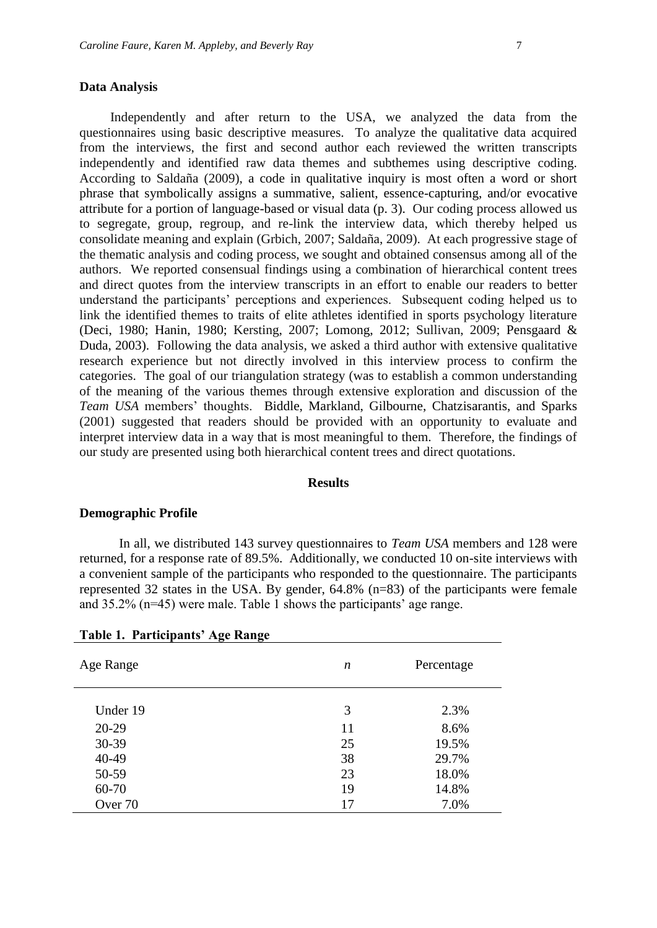#### **Data Analysis**

Independently and after return to the USA, we analyzed the data from the questionnaires using basic descriptive measures. To analyze the qualitative data acquired from the interviews, the first and second author each reviewed the written transcripts independently and identified raw data themes and subthemes using descriptive coding. According to Saldaña (2009), a code in qualitative inquiry is most often a word or short phrase that symbolically assigns a summative, salient, essence-capturing, and/or evocative attribute for a portion of language-based or visual data (p. 3). Our coding process allowed us to segregate, group, regroup, and re-link the interview data, which thereby helped us consolidate meaning and explain (Grbich, 2007; Saldaña, 2009). At each progressive stage of the thematic analysis and coding process, we sought and obtained consensus among all of the authors. We reported consensual findings using a combination of hierarchical content trees and direct quotes from the interview transcripts in an effort to enable our readers to better understand the participants' perceptions and experiences. Subsequent coding helped us to link the identified themes to traits of elite athletes identified in sports psychology literature (Deci, 1980; Hanin, 1980; Kersting, 2007; Lomong, 2012; Sullivan, 2009; Pensgaard & Duda, 2003). Following the data analysis, we asked a third author with extensive qualitative research experience but not directly involved in this interview process to confirm the categories. The goal of our triangulation strategy (was to establish a common understanding of the meaning of the various themes through extensive exploration and discussion of the *Team USA* members' thoughts. Biddle, Markland, Gilbourne, Chatzisarantis, and Sparks (2001) suggested that readers should be provided with an opportunity to evaluate and interpret interview data in a way that is most meaningful to them. Therefore, the findings of our study are presented using both hierarchical content trees and direct quotations.

#### **Results**

#### **Demographic Profile**

In all, we distributed 143 survey questionnaires to *Team USA* members and 128 were returned, for a response rate of 89.5%. Additionally, we conducted 10 on-site interviews with a convenient sample of the participants who responded to the questionnaire. The participants represented 32 states in the USA. By gender, 64.8% (n=83) of the participants were female and 35.2% (n=45) were male. Table 1 shows the participants' age range.

| Age Range | n  | Percentage |
|-----------|----|------------|
| Under 19  | 3  | 2.3%       |
| 20-29     | 11 | 8.6%       |
| 30-39     | 25 | 19.5%      |
| 40-49     | 38 | 29.7%      |
| 50-59     | 23 | 18.0%      |
| 60-70     | 19 | 14.8%      |
| Over 70   | 17 | 7.0%       |
|           |    |            |

#### **Table 1. Participants' Age Range**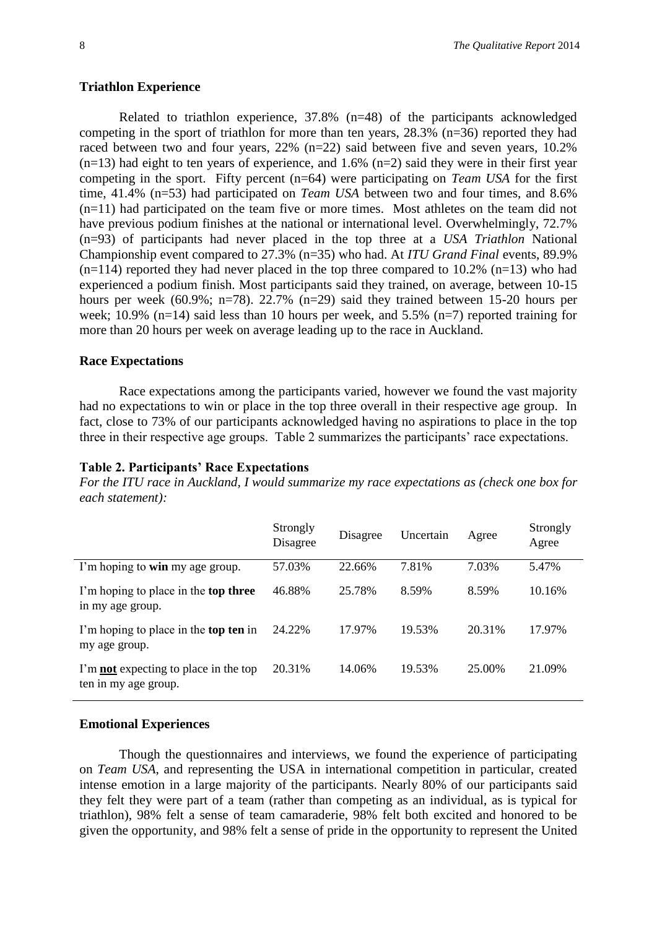#### **Triathlon Experience**

Related to triathlon experience, 37.8% (n=48) of the participants acknowledged competing in the sport of triathlon for more than ten years, 28.3% (n=36) reported they had raced between two and four years, 22% (n=22) said between five and seven years, 10.2%  $(n=13)$  had eight to ten years of experience, and 1.6%  $(n=2)$  said they were in their first year competing in the sport. Fifty percent (n=64) were participating on *Team USA* for the first time, 41.4% (n=53) had participated on *Team USA* between two and four times, and 8.6% (n=11) had participated on the team five or more times. Most athletes on the team did not have previous podium finishes at the national or international level. Overwhelmingly, 72.7% (n=93) of participants had never placed in the top three at a *USA Triathlon* National Championship event compared to 27.3% (n=35) who had. At *ITU Grand Final* events, 89.9%  $(n=114)$  reported they had never placed in the top three compared to 10.2%  $(n=13)$  who had experienced a podium finish. Most participants said they trained, on average, between 10-15 hours per week (60.9%; n=78). 22.7% (n=29) said they trained between 15-20 hours per week; 10.9% (n=14) said less than 10 hours per week, and 5.5% (n=7) reported training for more than 20 hours per week on average leading up to the race in Auckland.

#### **Race Expectations**

Race expectations among the participants varied, however we found the vast majority had no expectations to win or place in the top three overall in their respective age group. In fact, close to 73% of our participants acknowledged having no aspirations to place in the top three in their respective age groups. Table 2 summarizes the participants' race expectations.

#### **Table 2. Participants' Race Expectations**

*For the ITU race in Auckland, I would summarize my race expectations as (check one box for each statement):*

|                                                                      | Strongly<br>Disagree | Disagree | Uncertain | Agree  | Strongly<br>Agree |
|----------------------------------------------------------------------|----------------------|----------|-----------|--------|-------------------|
| I'm hoping to win my age group.                                      | 57.03%               | 22.66%   | 7.81%     | 7.03%  | 5.47%             |
| I'm hoping to place in the top three<br>in my age group.             | 46.88%               | 25.78%   | 8.59%     | 8.59%  | 10.16%            |
| I'm hoping to place in the <b>top ten</b> in<br>my age group.        | 24.22%               | 17.97%   | 19.53%    | 20.31% | 17.97%            |
| I'm <b>not</b> expecting to place in the top<br>ten in my age group. | 20.31%               | 14.06%   | 19.53%    | 25.00% | 21.09%            |

#### **Emotional Experiences**

Though the questionnaires and interviews, we found the experience of participating on *Team USA*, and representing the USA in international competition in particular, created intense emotion in a large majority of the participants. Nearly 80% of our participants said they felt they were part of a team (rather than competing as an individual, as is typical for triathlon), 98% felt a sense of team camaraderie, 98% felt both excited and honored to be given the opportunity, and 98% felt a sense of pride in the opportunity to represent the United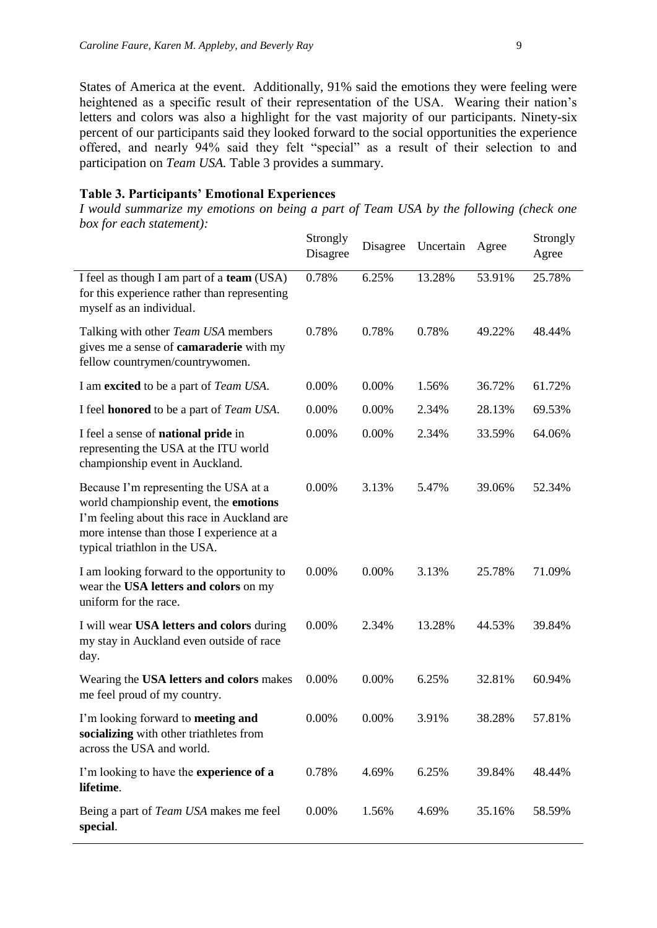States of America at the event. Additionally, 91% said the emotions they were feeling were heightened as a specific result of their representation of the USA. Wearing their nation's letters and colors was also a highlight for the vast majority of our participants. Ninety-six percent of our participants said they looked forward to the social opportunities the experience offered, and nearly 94% said they felt "special" as a result of their selection to and participation on *Team USA.* Table 3 provides a summary.

#### **Table 3. Participants' Emotional Experiences**

*I would summarize my emotions on being a part of Team USA by the following (check one box for each statement):*

|                                                                                                                                                                                                              | Strongly<br>Disagree | Disagree | Uncertain | Agree  | Strongly<br>Agree |
|--------------------------------------------------------------------------------------------------------------------------------------------------------------------------------------------------------------|----------------------|----------|-----------|--------|-------------------|
| I feel as though I am part of a team (USA)<br>for this experience rather than representing<br>myself as an individual.                                                                                       | 0.78%                | 6.25%    | 13.28%    | 53.91% | 25.78%            |
| Talking with other Team USA members<br>gives me a sense of camaraderie with my<br>fellow countrymen/countrywomen.                                                                                            | 0.78%                | 0.78%    | 0.78%     | 49.22% | 48.44%            |
| I am excited to be a part of <i>Team USA</i> .                                                                                                                                                               | 0.00%                | 0.00%    | 1.56%     | 36.72% | 61.72%            |
| I feel <b>honored</b> to be a part of <i>Team USA</i> .                                                                                                                                                      | 0.00%                | 0.00%    | 2.34%     | 28.13% | 69.53%            |
| I feel a sense of national pride in<br>representing the USA at the ITU world<br>championship event in Auckland.                                                                                              | 0.00%                | 0.00%    | 2.34%     | 33.59% | 64.06%            |
| Because I'm representing the USA at a<br>world championship event, the emotions<br>I'm feeling about this race in Auckland are<br>more intense than those I experience at a<br>typical triathlon in the USA. | 0.00%                | 3.13%    | 5.47%     | 39.06% | 52.34%            |
| I am looking forward to the opportunity to<br>wear the USA letters and colors on my<br>uniform for the race.                                                                                                 | 0.00%                | 0.00%    | 3.13%     | 25.78% | 71.09%            |
| I will wear USA letters and colors during<br>my stay in Auckland even outside of race<br>day.                                                                                                                | 0.00%                | 2.34%    | 13.28%    | 44.53% | 39.84%            |
| Wearing the USA letters and colors makes<br>me feel proud of my country.                                                                                                                                     | 0.00%                | 0.00%    | 6.25%     | 32.81% | 60.94%            |
| I'm looking forward to meeting and<br>socializing with other triathletes from<br>across the USA and world.                                                                                                   | 0.00%                | 0.00%    | 3.91%     | 38.28% | 57.81%            |
| I'm looking to have the experience of a<br>lifetime.                                                                                                                                                         | 0.78%                | 4.69%    | 6.25%     | 39.84% | 48.44%            |
| Being a part of <i>Team USA</i> makes me feel<br>special.                                                                                                                                                    | 0.00%                | 1.56%    | 4.69%     | 35.16% | 58.59%            |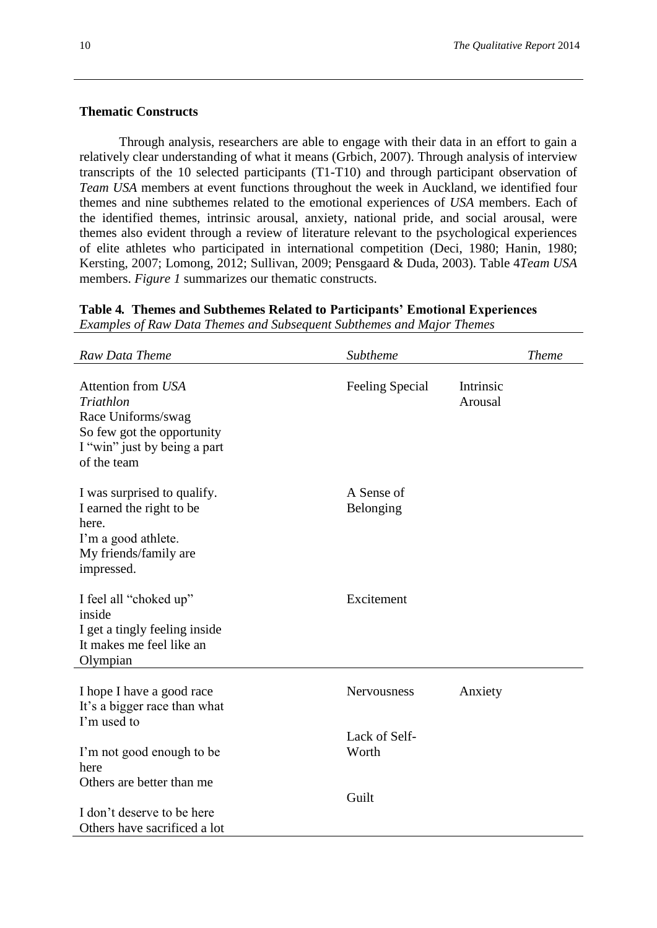#### **Thematic Constructs**

Through analysis, researchers are able to engage with their data in an effort to gain a relatively clear understanding of what it means (Grbich, 2007). Through analysis of interview transcripts of the 10 selected participants (T1-T10) and through participant observation of *Team USA* members at event functions throughout the week in Auckland, we identified four themes and nine subthemes related to the emotional experiences of *USA* members. Each of the identified themes, intrinsic arousal, anxiety, national pride, and social arousal, were themes also evident through a review of literature relevant to the psychological experiences of elite athletes who participated in international competition (Deci, 1980; Hanin, 1980; Kersting, 2007; Lomong, 2012; Sullivan, 2009; Pensgaard & Duda, 2003). Table 4*Team USA* members. *Figure 1* summarizes our thematic constructs.

**Table 4***.* **Themes and Subthemes Related to Participants' Emotional Experiences** *Examples of Raw Data Themes and Subsequent Subthemes and Major Themes*

| <b>Raw Data Theme</b>                                                                                                              | Subtheme                | <b>Theme</b>         |
|------------------------------------------------------------------------------------------------------------------------------------|-------------------------|----------------------|
| Attention from USA<br>Triathlon<br>Race Uniforms/swag<br>So few got the opportunity<br>I "win" just by being a part<br>of the team | Feeling Special         | Intrinsic<br>Arousal |
| I was surprised to qualify.<br>I earned the right to be<br>here.<br>I'm a good athlete.<br>My friends/family are<br>impressed.     | A Sense of<br>Belonging |                      |
| I feel all "choked up"<br>inside<br>I get a tingly feeling inside<br>It makes me feel like an<br>Olympian                          | Excitement              |                      |
| I hope I have a good race<br>It's a bigger race than what<br>I'm used to                                                           | Nervousness             | Anxiety              |
| I'm not good enough to be<br>here<br>Others are better than me                                                                     | Lack of Self-<br>Worth  |                      |
| I don't deserve to be here<br>Others have sacrificed a lot                                                                         | Guilt                   |                      |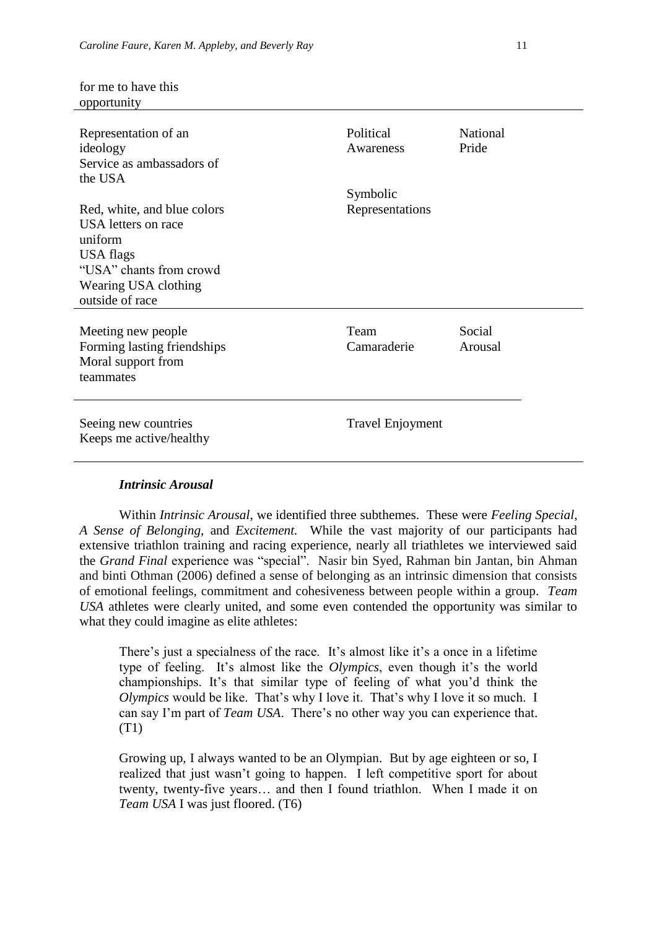for me to have this

| opportunity                                                                                                                                      |                             |                   |
|--------------------------------------------------------------------------------------------------------------------------------------------------|-----------------------------|-------------------|
| Representation of an<br>ideology<br>Service as ambassadors of<br>the USA                                                                         | Political<br>Awareness      | National<br>Pride |
| Red, white, and blue colors<br>USA letters on race<br>uniform<br>USA flags<br>"USA" chants from crowd<br>Wearing USA clothing<br>outside of race | Symbolic<br>Representations |                   |
| Meeting new people<br>Forming lasting friendships<br>Moral support from<br>teammates                                                             | Team<br>Camaraderie         | Social<br>Arousal |
| Seeing new countries<br>Keeps me active/healthy                                                                                                  | Travel Enjoyment            |                   |
|                                                                                                                                                  |                             |                   |

#### *Intrinsic Arousal*

Within *Intrinsic Arousal*, we identified three subthemes. These were *Feeling Special, A Sense of Belonging,* and *Excitement.* While the vast majority of our participants had extensive triathlon training and racing experience, nearly all triathletes we interviewed said the *Grand Final* experience was "special". Nasir bin Syed, Rahman bin Jantan, bin Ahman and binti Othman (2006) defined a sense of belonging as an intrinsic dimension that consists of emotional feelings, commitment and cohesiveness between people within a group. *Team USA* athletes were clearly united, and some even contended the opportunity was similar to what they could imagine as elite athletes:

There's just a specialness of the race. It's almost like it's a once in a lifetime type of feeling. It's almost like the *Olympics*, even though it's the world championships. It's that similar type of feeling of what you'd think the *Olympics* would be like. That's why I love it. That's why I love it so much. I can say I'm part of *Team USA*. There's no other way you can experience that. (T1)

Growing up, I always wanted to be an Olympian. But by age eighteen or so, I realized that just wasn't going to happen. I left competitive sport for about twenty, twenty-five years… and then I found triathlon. When I made it on *Team USA* I was just floored. (T6)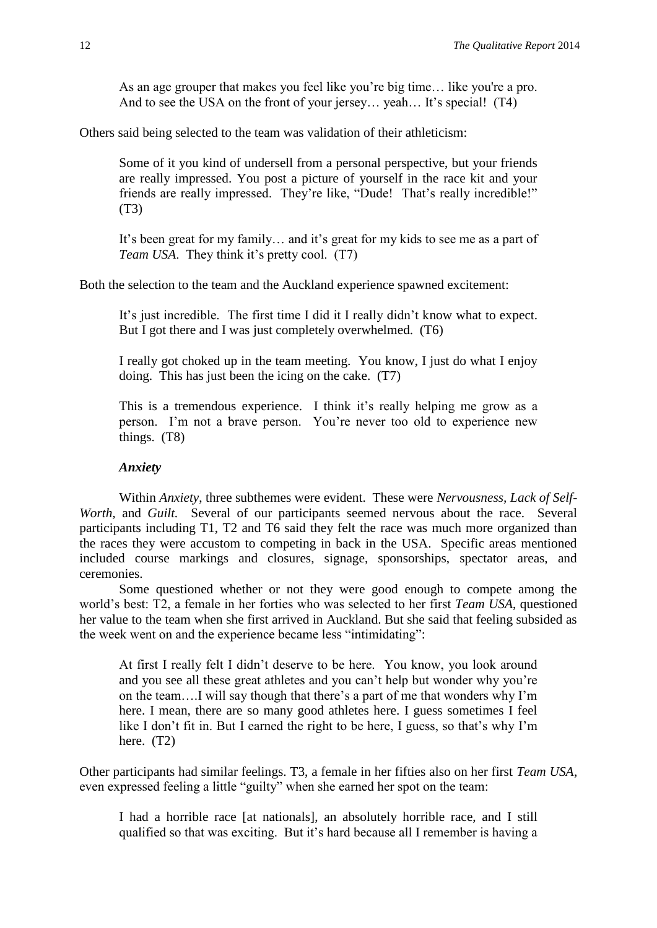As an age grouper that makes you feel like you're big time… like you're a pro. And to see the USA on the front of your jersey... yeah... It's special! (T4)

Others said being selected to the team was validation of their athleticism:

Some of it you kind of undersell from a personal perspective, but your friends are really impressed. You post a picture of yourself in the race kit and your friends are really impressed. They're like, "Dude! That's really incredible!" (T3)

It's been great for my family… and it's great for my kids to see me as a part of *Team USA*. They think it's pretty cool. (T7)

Both the selection to the team and the Auckland experience spawned excitement:

It's just incredible. The first time I did it I really didn't know what to expect. But I got there and I was just completely overwhelmed. (T6)

I really got choked up in the team meeting. You know, I just do what I enjoy doing. This has just been the icing on the cake. (T7)

This is a tremendous experience. I think it's really helping me grow as a person. I'm not a brave person. You're never too old to experience new things. (T8)

#### *Anxiety*

Within *Anxiety*, three subthemes were evident. These were *Nervousness, Lack of Self-Worth*, and *Guilt*. Several of our participants seemed nervous about the race. Several participants including T1, T2 and T6 said they felt the race was much more organized than the races they were accustom to competing in back in the USA. Specific areas mentioned included course markings and closures, signage, sponsorships, spectator areas, and ceremonies.

Some questioned whether or not they were good enough to compete among the world's best: T2, a female in her forties who was selected to her first *Team USA*, questioned her value to the team when she first arrived in Auckland. But she said that feeling subsided as the week went on and the experience became less "intimidating":

At first I really felt I didn't deserve to be here. You know, you look around and you see all these great athletes and you can't help but wonder why you're on the team….I will say though that there's a part of me that wonders why I'm here. I mean, there are so many good athletes here. I guess sometimes I feel like I don't fit in. But I earned the right to be here, I guess, so that's why I'm here. (T2)

Other participants had similar feelings. T3, a female in her fifties also on her first *Team USA*, even expressed feeling a little "guilty" when she earned her spot on the team:

I had a horrible race [at nationals], an absolutely horrible race, and I still qualified so that was exciting. But it's hard because all I remember is having a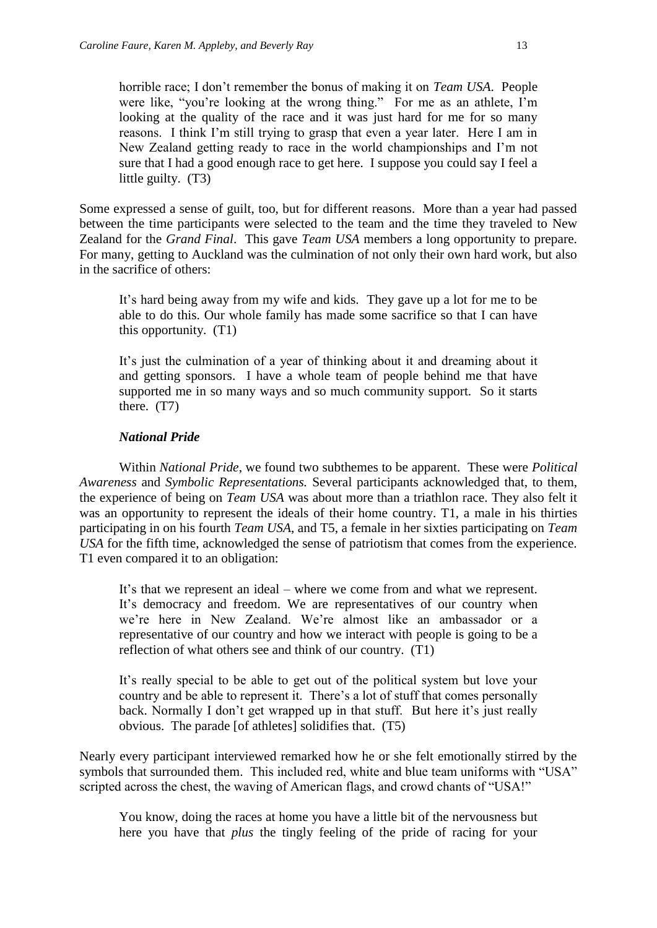horrible race; I don't remember the bonus of making it on *Team USA*. People were like, "you're looking at the wrong thing." For me as an athlete, I'm looking at the quality of the race and it was just hard for me for so many reasons. I think I'm still trying to grasp that even a year later. Here I am in New Zealand getting ready to race in the world championships and I'm not sure that I had a good enough race to get here. I suppose you could say I feel a little guilty. (T3)

Some expressed a sense of guilt, too, but for different reasons. More than a year had passed between the time participants were selected to the team and the time they traveled to New Zealand for the *Grand Final*. This gave *Team USA* members a long opportunity to prepare. For many, getting to Auckland was the culmination of not only their own hard work, but also in the sacrifice of others:

It's hard being away from my wife and kids. They gave up a lot for me to be able to do this. Our whole family has made some sacrifice so that I can have this opportunity. (T1)

It's just the culmination of a year of thinking about it and dreaming about it and getting sponsors. I have a whole team of people behind me that have supported me in so many ways and so much community support. So it starts there. (T7)

#### *National Pride*

Within *National Pride*, we found two subthemes to be apparent. These were *Political Awareness* and *Symbolic Representations.* Several participants acknowledged that, to them, the experience of being on *Team USA* was about more than a triathlon race. They also felt it was an opportunity to represent the ideals of their home country. T1, a male in his thirties participating in on his fourth *Team USA*, and T5, a female in her sixties participating on *Team USA* for the fifth time, acknowledged the sense of patriotism that comes from the experience. T1 even compared it to an obligation:

It's that we represent an ideal – where we come from and what we represent. It's democracy and freedom. We are representatives of our country when we're here in New Zealand. We're almost like an ambassador or a representative of our country and how we interact with people is going to be a reflection of what others see and think of our country. (T1)

It's really special to be able to get out of the political system but love your country and be able to represent it. There's a lot of stuff that comes personally back. Normally I don't get wrapped up in that stuff. But here it's just really obvious. The parade [of athletes] solidifies that. (T5)

Nearly every participant interviewed remarked how he or she felt emotionally stirred by the symbols that surrounded them. This included red, white and blue team uniforms with "USA" scripted across the chest, the waving of American flags, and crowd chants of "USA!"

You know, doing the races at home you have a little bit of the nervousness but here you have that *plus* the tingly feeling of the pride of racing for your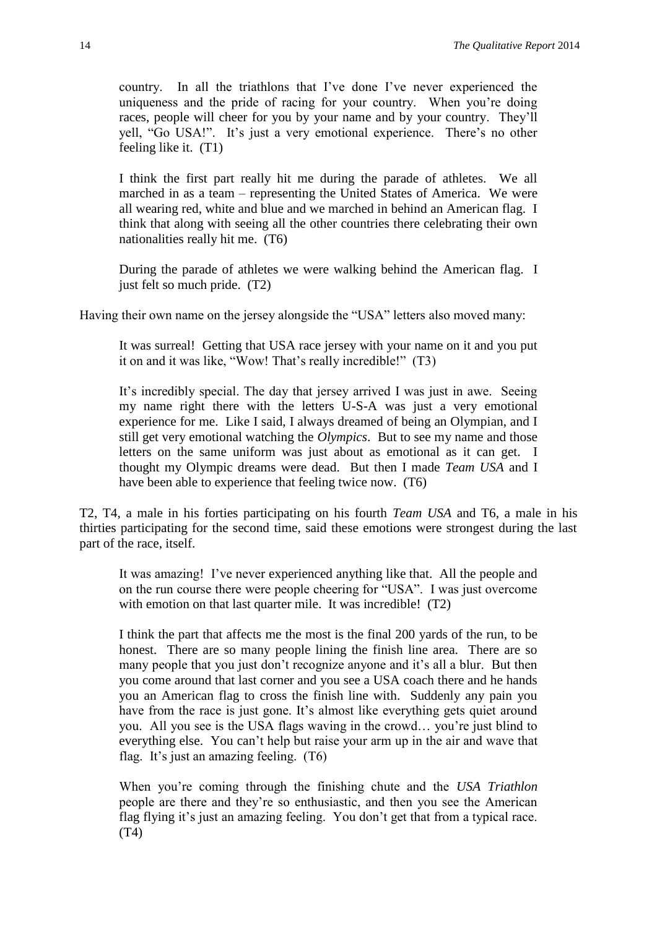country. In all the triathlons that I've done I've never experienced the uniqueness and the pride of racing for your country. When you're doing races, people will cheer for you by your name and by your country. They'll yell, "Go USA!". It's just a very emotional experience. There's no other feeling like it. (T1)

I think the first part really hit me during the parade of athletes. We all marched in as a team – representing the United States of America. We were all wearing red, white and blue and we marched in behind an American flag. I think that along with seeing all the other countries there celebrating their own nationalities really hit me. (T6)

During the parade of athletes we were walking behind the American flag. I just felt so much pride. (T2)

Having their own name on the jersey alongside the "USA" letters also moved many:

It was surreal! Getting that USA race jersey with your name on it and you put it on and it was like, "Wow! That's really incredible!" (T3)

It's incredibly special. The day that jersey arrived I was just in awe. Seeing my name right there with the letters U-S-A was just a very emotional experience for me. Like I said, I always dreamed of being an Olympian, and I still get very emotional watching the *Olympics*. But to see my name and those letters on the same uniform was just about as emotional as it can get. I thought my Olympic dreams were dead. But then I made *Team USA* and I have been able to experience that feeling twice now. (T6)

T2, T4, a male in his forties participating on his fourth *Team USA* and T6, a male in his thirties participating for the second time, said these emotions were strongest during the last part of the race, itself.

It was amazing! I've never experienced anything like that. All the people and on the run course there were people cheering for "USA". I was just overcome with emotion on that last quarter mile. It was incredible! (T2)

I think the part that affects me the most is the final 200 yards of the run, to be honest. There are so many people lining the finish line area. There are so many people that you just don't recognize anyone and it's all a blur. But then you come around that last corner and you see a USA coach there and he hands you an American flag to cross the finish line with. Suddenly any pain you have from the race is just gone. It's almost like everything gets quiet around you. All you see is the USA flags waving in the crowd… you're just blind to everything else. You can't help but raise your arm up in the air and wave that flag. It's just an amazing feeling. (T6)

When you're coming through the finishing chute and the *USA Triathlon* people are there and they're so enthusiastic, and then you see the American flag flying it's just an amazing feeling. You don't get that from a typical race. (T4)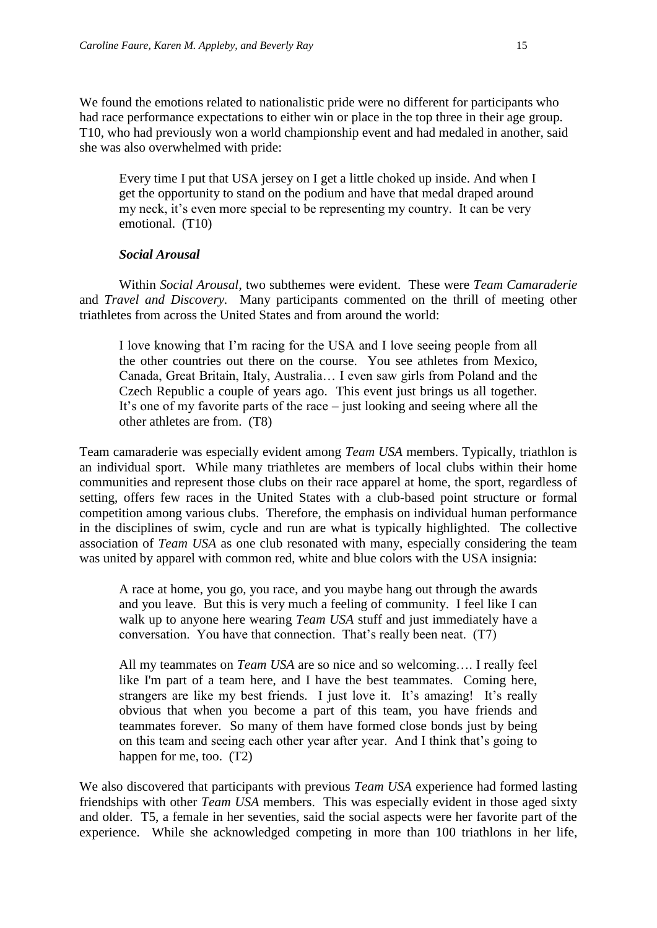We found the emotions related to nationalistic pride were no different for participants who had race performance expectations to either win or place in the top three in their age group. T10, who had previously won a world championship event and had medaled in another, said she was also overwhelmed with pride:

Every time I put that USA jersey on I get a little choked up inside. And when I get the opportunity to stand on the podium and have that medal draped around my neck, it's even more special to be representing my country. It can be very emotional. (T10)

#### *Social Arousal*

Within *Social Arousal*, two subthemes were evident. These were *Team Camaraderie*  and *Travel and Discovery.* Many participants commented on the thrill of meeting other triathletes from across the United States and from around the world:

I love knowing that I'm racing for the USA and I love seeing people from all the other countries out there on the course. You see athletes from Mexico, Canada, Great Britain, Italy, Australia… I even saw girls from Poland and the Czech Republic a couple of years ago. This event just brings us all together. It's one of my favorite parts of the race – just looking and seeing where all the other athletes are from. (T8)

Team camaraderie was especially evident among *Team USA* members. Typically, triathlon is an individual sport. While many triathletes are members of local clubs within their home communities and represent those clubs on their race apparel at home, the sport, regardless of setting, offers few races in the United States with a club-based point structure or formal competition among various clubs. Therefore, the emphasis on individual human performance in the disciplines of swim, cycle and run are what is typically highlighted. The collective association of *Team USA* as one club resonated with many, especially considering the team was united by apparel with common red, white and blue colors with the USA insignia:

A race at home, you go, you race, and you maybe hang out through the awards and you leave. But this is very much a feeling of community. I feel like I can walk up to anyone here wearing *Team USA* stuff and just immediately have a conversation. You have that connection. That's really been neat. (T7)

All my teammates on *Team USA* are so nice and so welcoming…. I really feel like I'm part of a team here, and I have the best teammates. Coming here, strangers are like my best friends. I just love it. It's amazing! It's really obvious that when you become a part of this team, you have friends and teammates forever. So many of them have formed close bonds just by being on this team and seeing each other year after year. And I think that's going to happen for me, too.  $(T2)$ 

We also discovered that participants with previous *Team USA* experience had formed lasting friendships with other *Team USA* members. This was especially evident in those aged sixty and older. T5, a female in her seventies, said the social aspects were her favorite part of the experience. While she acknowledged competing in more than 100 triathlons in her life,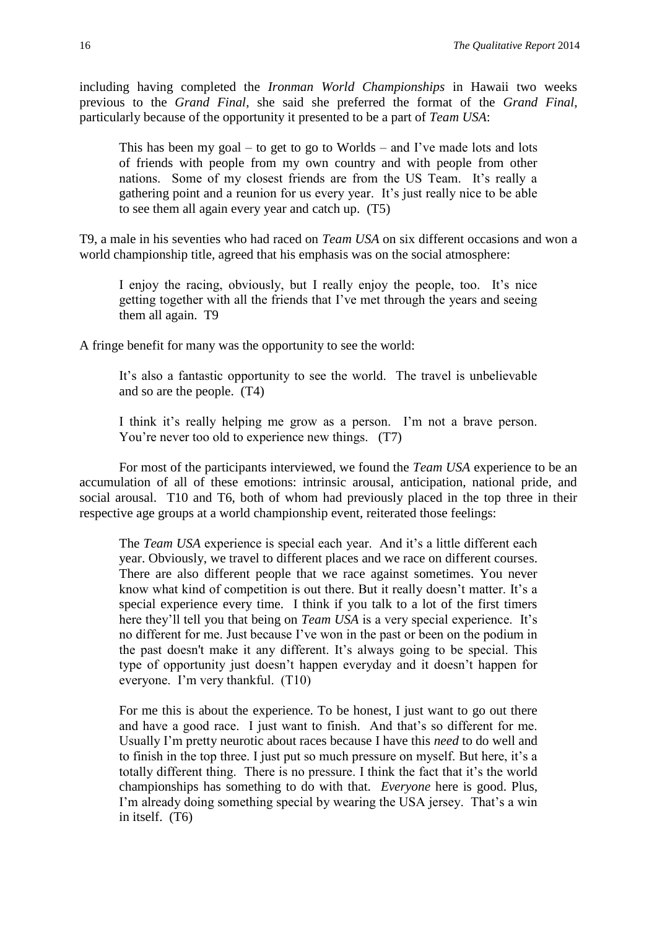including having completed the *Ironman World Championships* in Hawaii two weeks previous to the *Grand Final*, she said she preferred the format of the *Grand Final*, particularly because of the opportunity it presented to be a part of *Team USA*:

This has been my goal – to get to go to Worlds – and I've made lots and lots of friends with people from my own country and with people from other nations. Some of my closest friends are from the US Team. It's really a gathering point and a reunion for us every year. It's just really nice to be able to see them all again every year and catch up. (T5)

T9, a male in his seventies who had raced on *Team USA* on six different occasions and won a world championship title, agreed that his emphasis was on the social atmosphere:

I enjoy the racing, obviously, but I really enjoy the people, too. It's nice getting together with all the friends that I've met through the years and seeing them all again. T9

A fringe benefit for many was the opportunity to see the world:

It's also a fantastic opportunity to see the world. The travel is unbelievable and so are the people. (T4)

I think it's really helping me grow as a person. I'm not a brave person. You're never too old to experience new things. (T7)

For most of the participants interviewed, we found the *Team USA* experience to be an accumulation of all of these emotions: intrinsic arousal, anticipation, national pride, and social arousal. T10 and T6, both of whom had previously placed in the top three in their respective age groups at a world championship event, reiterated those feelings:

The *Team USA* experience is special each year. And it's a little different each year. Obviously, we travel to different places and we race on different courses. There are also different people that we race against sometimes. You never know what kind of competition is out there. But it really doesn't matter. It's a special experience every time. I think if you talk to a lot of the first timers here they'll tell you that being on *Team USA* is a very special experience. It's no different for me. Just because I've won in the past or been on the podium in the past doesn't make it any different. It's always going to be special. This type of opportunity just doesn't happen everyday and it doesn't happen for everyone. I'm very thankful. (T10)

For me this is about the experience. To be honest, I just want to go out there and have a good race. I just want to finish. And that's so different for me. Usually I'm pretty neurotic about races because I have this *need* to do well and to finish in the top three. I just put so much pressure on myself. But here, it's a totally different thing. There is no pressure. I think the fact that it's the world championships has something to do with that. *Everyone* here is good. Plus, I'm already doing something special by wearing the USA jersey. That's a win in itself. (T6)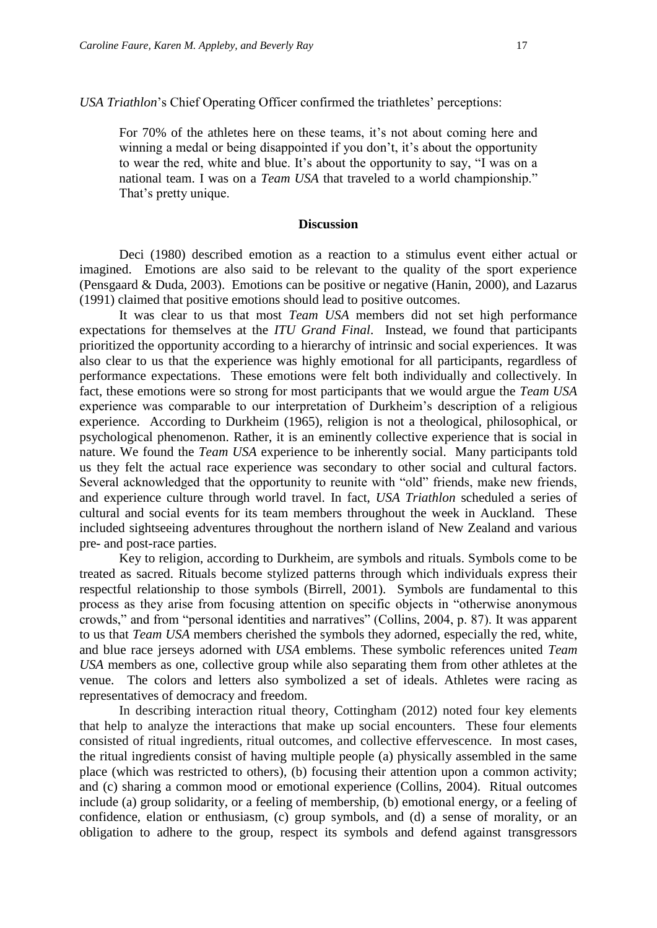For 70% of the athletes here on these teams, it's not about coming here and winning a medal or being disappointed if you don't, it's about the opportunity to wear the red, white and blue. It's about the opportunity to say, "I was on a national team. I was on a *Team USA* that traveled to a world championship." That's pretty unique.

#### **Discussion**

Deci (1980) described emotion as a reaction to a stimulus event either actual or imagined. Emotions are also said to be relevant to the quality of the sport experience (Pensgaard & Duda, 2003). Emotions can be positive or negative (Hanin, 2000), and Lazarus (1991) claimed that positive emotions should lead to positive outcomes.

It was clear to us that most *Team USA* members did not set high performance expectations for themselves at the *ITU Grand Final*. Instead, we found that participants prioritized the opportunity according to a hierarchy of intrinsic and social experiences. It was also clear to us that the experience was highly emotional for all participants, regardless of performance expectations. These emotions were felt both individually and collectively. In fact, these emotions were so strong for most participants that we would argue the *Team USA* experience was comparable to our interpretation of Durkheim's description of a religious experience. According to Durkheim (1965), religion is not a theological, philosophical, or psychological phenomenon. Rather, it is an eminently collective experience that is social in nature. We found the *Team USA* experience to be inherently social. Many participants told us they felt the actual race experience was secondary to other social and cultural factors. Several acknowledged that the opportunity to reunite with "old" friends, make new friends, and experience culture through world travel. In fact, *USA Triathlon* scheduled a series of cultural and social events for its team members throughout the week in Auckland. These included sightseeing adventures throughout the northern island of New Zealand and various pre- and post-race parties.

Key to religion, according to Durkheim, are symbols and rituals. Symbols come to be treated as sacred. Rituals become stylized patterns through which individuals express their respectful relationship to those symbols (Birrell, 2001). Symbols are fundamental to this process as they arise from focusing attention on specific objects in "otherwise anonymous crowds," and from "personal identities and narratives" (Collins, 2004, p. 87). It was apparent to us that *Team USA* members cherished the symbols they adorned, especially the red, white, and blue race jerseys adorned with *USA* emblems. These symbolic references united *Team USA* members as one, collective group while also separating them from other athletes at the venue. The colors and letters also symbolized a set of ideals. Athletes were racing as representatives of democracy and freedom.

In describing interaction ritual theory, Cottingham (2012) noted four key elements that help to analyze the interactions that make up social encounters. These four elements consisted of ritual ingredients, ritual outcomes, and collective effervescence. In most cases, the ritual ingredients consist of having multiple people (a) physically assembled in the same place (which was restricted to others), (b) focusing their attention upon a common activity; and (c) sharing a common mood or emotional experience (Collins, 2004). Ritual outcomes include (a) group solidarity, or a feeling of membership, (b) emotional energy, or a feeling of confidence, elation or enthusiasm, (c) group symbols, and (d) a sense of morality, or an obligation to adhere to the group, respect its symbols and defend against transgressors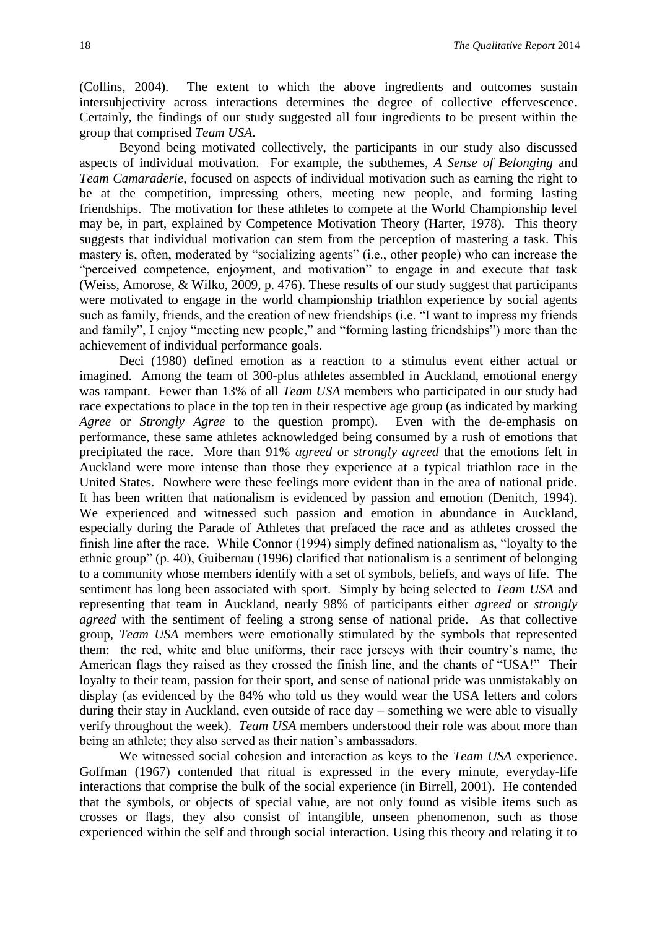(Collins, 2004). The extent to which the above ingredients and outcomes sustain intersubjectivity across interactions determines the degree of collective effervescence. Certainly, the findings of our study suggested all four ingredients to be present within the group that comprised *Team USA*.

Beyond being motivated collectively, the participants in our study also discussed aspects of individual motivation. For example, the subthemes, *A Sense of Belonging* and *Team Camaraderie*, focused on aspects of individual motivation such as earning the right to be at the competition, impressing others, meeting new people, and forming lasting friendships. The motivation for these athletes to compete at the World Championship level may be, in part, explained by Competence Motivation Theory (Harter, 1978). This theory suggests that individual motivation can stem from the perception of mastering a task. This mastery is, often, moderated by "socializing agents" (i.e., other people) who can increase the "perceived competence, enjoyment, and motivation" to engage in and execute that task (Weiss, Amorose, & Wilko, 2009, p. 476). These results of our study suggest that participants were motivated to engage in the world championship triathlon experience by social agents such as family, friends, and the creation of new friendships (i.e. "I want to impress my friends and family", I enjoy "meeting new people," and "forming lasting friendships") more than the achievement of individual performance goals.

Deci (1980) defined emotion as a reaction to a stimulus event either actual or imagined. Among the team of 300-plus athletes assembled in Auckland, emotional energy was rampant. Fewer than 13% of all *Team USA* members who participated in our study had race expectations to place in the top ten in their respective age group (as indicated by marking *Agree* or *Strongly Agree* to the question prompt). Even with the de-emphasis on performance, these same athletes acknowledged being consumed by a rush of emotions that precipitated the race. More than 91% *agreed* or *strongly agreed* that the emotions felt in Auckland were more intense than those they experience at a typical triathlon race in the United States. Nowhere were these feelings more evident than in the area of national pride. It has been written that nationalism is evidenced by passion and emotion (Denitch, 1994). We experienced and witnessed such passion and emotion in abundance in Auckland, especially during the Parade of Athletes that prefaced the race and as athletes crossed the finish line after the race. While Connor (1994) simply defined nationalism as, "loyalty to the ethnic group" (p. 40), Guibernau (1996) clarified that nationalism is a sentiment of belonging to a community whose members identify with a set of symbols, beliefs, and ways of life. The sentiment has long been associated with sport. Simply by being selected to *Team USA* and representing that team in Auckland, nearly 98% of participants either *agreed* or *strongly agreed* with the sentiment of feeling a strong sense of national pride. As that collective group, *Team USA* members were emotionally stimulated by the symbols that represented them: the red, white and blue uniforms, their race jerseys with their country's name, the American flags they raised as they crossed the finish line, and the chants of "USA!" Their loyalty to their team, passion for their sport, and sense of national pride was unmistakably on display (as evidenced by the 84% who told us they would wear the USA letters and colors during their stay in Auckland, even outside of race day – something we were able to visually verify throughout the week). *Team USA* members understood their role was about more than being an athlete; they also served as their nation's ambassadors.

We witnessed social cohesion and interaction as keys to the *Team USA* experience. Goffman (1967) contended that ritual is expressed in the every minute, everyday-life interactions that comprise the bulk of the social experience (in Birrell, 2001). He contended that the symbols, or objects of special value, are not only found as visible items such as crosses or flags, they also consist of intangible, unseen phenomenon, such as those experienced within the self and through social interaction. Using this theory and relating it to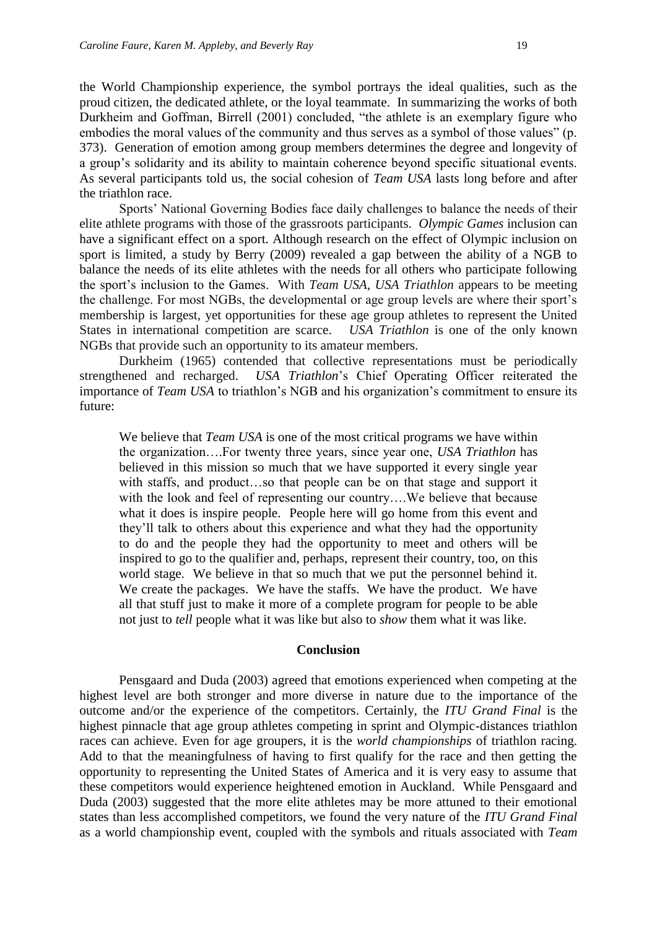the World Championship experience, the symbol portrays the ideal qualities, such as the proud citizen, the dedicated athlete, or the loyal teammate. In summarizing the works of both Durkheim and Goffman, Birrell (2001) concluded, "the athlete is an exemplary figure who embodies the moral values of the community and thus serves as a symbol of those values" (p. 373). Generation of emotion among group members determines the degree and longevity of a group's solidarity and its ability to maintain coherence beyond specific situational events. As several participants told us, the social cohesion of *Team USA* lasts long before and after the triathlon race.

Sports' National Governing Bodies face daily challenges to balance the needs of their elite athlete programs with those of the grassroots participants. *Olympic Games* inclusion can have a significant effect on a sport. Although research on the effect of Olympic inclusion on sport is limited, a study by Berry (2009) revealed a gap between the ability of a NGB to balance the needs of its elite athletes with the needs for all others who participate following the sport's inclusion to the Games. With *Team USA*, *USA Triathlon* appears to be meeting the challenge. For most NGBs, the developmental or age group levels are where their sport's membership is largest, yet opportunities for these age group athletes to represent the United States in international competition are scarce. *USA Triathlon* is one of the only known NGBs that provide such an opportunity to its amateur members.

Durkheim (1965) contended that collective representations must be periodically strengthened and recharged. *USA Triathlon*'s Chief Operating Officer reiterated the importance of *Team USA* to triathlon's NGB and his organization's commitment to ensure its future:

We believe that *Team USA* is one of the most critical programs we have within the organization….For twenty three years, since year one, *USA Triathlon* has believed in this mission so much that we have supported it every single year with staffs, and product...so that people can be on that stage and support it with the look and feel of representing our country....We believe that because what it does is inspire people. People here will go home from this event and they'll talk to others about this experience and what they had the opportunity to do and the people they had the opportunity to meet and others will be inspired to go to the qualifier and, perhaps, represent their country, too, on this world stage. We believe in that so much that we put the personnel behind it. We create the packages. We have the staffs. We have the product. We have all that stuff just to make it more of a complete program for people to be able not just to *tell* people what it was like but also to *show* them what it was like.

#### **Conclusion**

Pensgaard and Duda (2003) agreed that emotions experienced when competing at the highest level are both stronger and more diverse in nature due to the importance of the outcome and/or the experience of the competitors. Certainly, the *ITU Grand Final* is the highest pinnacle that age group athletes competing in sprint and Olympic-distances triathlon races can achieve. Even for age groupers, it is the *world championships* of triathlon racing. Add to that the meaningfulness of having to first qualify for the race and then getting the opportunity to representing the United States of America and it is very easy to assume that these competitors would experience heightened emotion in Auckland. While Pensgaard and Duda (2003) suggested that the more elite athletes may be more attuned to their emotional states than less accomplished competitors, we found the very nature of the *ITU Grand Final* as a world championship event, coupled with the symbols and rituals associated with *Team*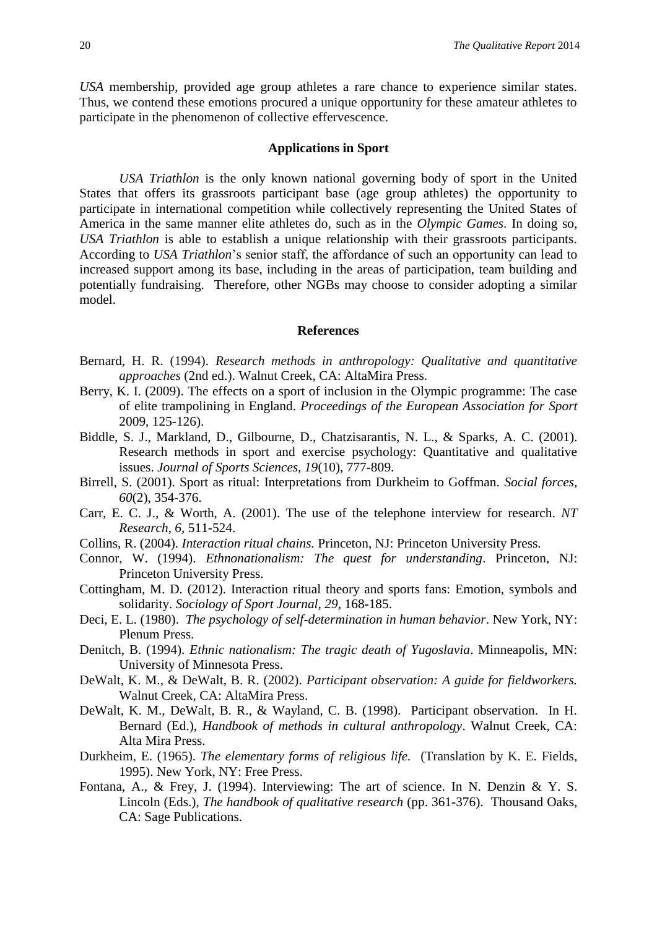*USA* membership, provided age group athletes a rare chance to experience similar states. Thus, we contend these emotions procured a unique opportunity for these amateur athletes to participate in the phenomenon of collective effervescence.

#### **Applications in Sport**

*USA Triathlon* is the only known national governing body of sport in the United States that offers its grassroots participant base (age group athletes) the opportunity to participate in international competition while collectively representing the United States of America in the same manner elite athletes do, such as in the *Olympic Games*. In doing so, *USA Triathlon* is able to establish a unique relationship with their grassroots participants. According to *USA Triathlon*'s senior staff, the affordance of such an opportunity can lead to increased support among its base, including in the areas of participation, team building and potentially fundraising. Therefore, other NGBs may choose to consider adopting a similar model.

#### **References**

- Bernard, H. R. (1994). *Research methods in anthropology: Qualitative and quantitative approaches* (2nd ed.). Walnut Creek, CA: AltaMira Press.
- Berry, K. I. (2009). The effects on a sport of inclusion in the Olympic programme: The case of elite trampolining in England. *Proceedings of the European Association for Sport*  2009, 125-126).
- Biddle, S. J., Markland, D., Gilbourne, D., Chatzisarantis, N. L., & Sparks, A. C. (2001). Research methods in sport and exercise psychology: Quantitative and qualitative issues. *Journal of Sports Sciences, 19*(10), 777-809.
- Birrell, S. (2001). Sport as ritual: Interpretations from Durkheim to Goffman. *Social forces, 60*(2), 354-376.
- Carr, E. C. J., & Worth, A. (2001). The use of the telephone interview for research. *NT Research, 6,* 511-524.
- Collins, R. (2004). *Interaction ritual chains.* Princeton, NJ: Princeton University Press.
- Connor, W. (1994). *Ethnonationalism: The quest for understanding*. Princeton, NJ: Princeton University Press.
- Cottingham, M. D. (2012). Interaction ritual theory and sports fans: Emotion, symbols and solidarity. *Sociology of Sport Journal, 29*, 168-185.
- Deci, E. L. (1980). *The psychology of self-determination in human behavior*. New York, NY: Plenum Press.
- Denitch, B. (1994). *Ethnic nationalism: The tragic death of Yugoslavia*. Minneapolis, MN: University of Minnesota Press.
- DeWalt, K. M., & DeWalt, B. R. (2002). *Participant observation: A guide for fieldworkers.*  Walnut Creek, CA: AltaMira Press.
- DeWalt, K. M., DeWalt, B. R., & Wayland, C. B. (1998). Participant observation. In H. Bernard (Ed.), *Handbook of methods in cultural anthropology*. Walnut Creek, CA: Alta Mira Press.
- Durkheim, E. (1965). *The elementary forms of religious life.* (Translation by K. E. Fields, 1995). New York, NY: Free Press.
- Fontana, A., & Frey, J. (1994). Interviewing: The art of science. In N. Denzin & Y. S. Lincoln (Eds.), *The handbook of qualitative research* (pp. 361-376). Thousand Oaks, CA: Sage Publications.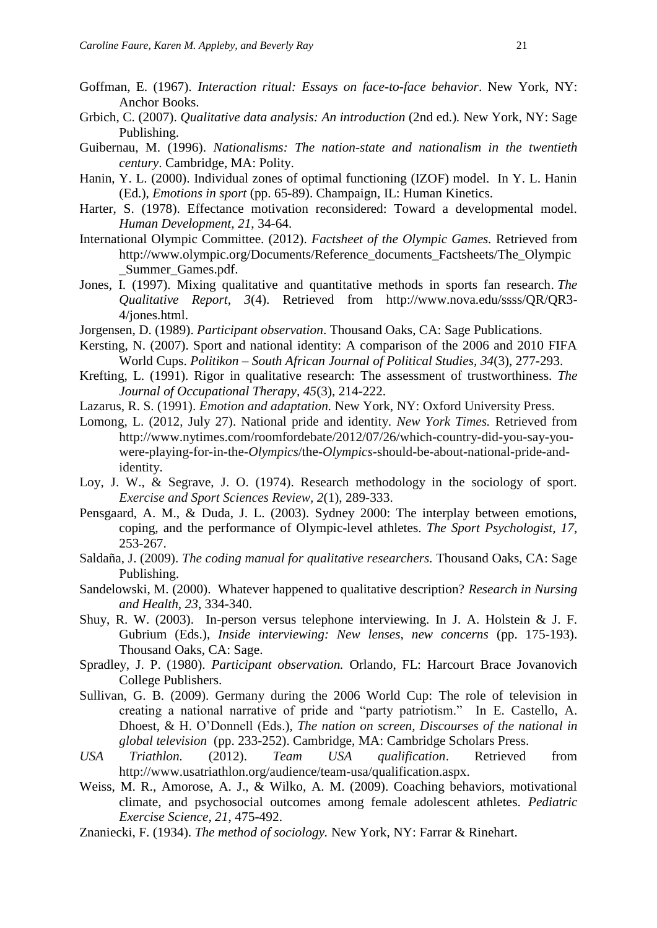- Goffman, E. (1967). *Interaction ritual: Essays on face-to-face behavior*. New York, NY: Anchor Books.
- Grbich, C. (2007). *Qualitative data analysis: An introduction* (2nd ed.)*.* New York, NY: Sage Publishing.
- Guibernau, M. (1996). *Nationalisms: The nation-state and nationalism in the twentieth century*. Cambridge, MA: Polity.
- Hanin, Y. L. (2000). Individual zones of optimal functioning (IZOF) model. In Y. L. Hanin (Ed.), *Emotions in sport* (pp. 65-89). Champaign, IL: Human Kinetics.
- Harter, S. (1978). Effectance motivation reconsidered: Toward a developmental model. *Human Development, 21*, 34-64.
- International Olympic Committee. (2012). *Factsheet of the Olympic Games.* Retrieved from http://www.olympic.org/Documents/Reference\_documents\_Factsheets/The\_Olympic Summer Games.pdf.
- Jones, I. (1997). Mixing qualitative and quantitative methods in sports fan research. *The Qualitative Report, 3*(4). Retrieved from http://www.nova.edu/ssss/QR/QR3- 4/jones.html.
- Jorgensen, D. (1989). *Participant observation*. Thousand Oaks, CA: Sage Publications.
- Kersting, N. (2007). Sport and national identity: A comparison of the 2006 and 2010 FIFA World Cups. *Politikon – South African Journal of Political Studies, 34*(3), 277-293.
- Krefting, L. (1991). Rigor in qualitative research: The assessment of trustworthiness. *The Journal of Occupational Therapy, 45*(3), 214-222.
- Lazarus, R. S. (1991). *Emotion and adaptation.* New York, NY: Oxford University Press.
- Lomong, L. (2012, July 27). National pride and identity. *New York Times.* Retrieved from http://www.nytimes.com/roomfordebate/2012/07/26/which-country-did-you-say-youwere-playing-for-in-the-*Olympics*/the-*Olympics*-should-be-about-national-pride-andidentity.
- Loy, J. W., & Segrave, J. O. (1974). Research methodology in the sociology of sport. *Exercise and Sport Sciences Review, 2*(1), 289-333.
- Pensgaard, A. M., & Duda, J. L. (2003). Sydney 2000: The interplay between emotions, coping, and the performance of Olympic-level athletes. *The Sport Psychologist, 17*, 253-267.
- Saldaña, J. (2009). *The coding manual for qualitative researchers.* Thousand Oaks, CA: Sage Publishing.
- Sandelowski, M. (2000). Whatever happened to qualitative description? *Research in Nursing and Health, 23*, 334-340.
- Shuy, R. W. (2003). In-person versus telephone interviewing. In J. A. Holstein & J. F. Gubrium (Eds.), *Inside interviewing: New lenses, new concerns* (pp. 175-193). Thousand Oaks, CA: Sage.
- Spradley, J. P. (1980). *Participant observation.* Orlando, FL: Harcourt Brace Jovanovich College Publishers.
- Sullivan, G. B. (2009). Germany during the 2006 World Cup: The role of television in creating a national narrative of pride and "party patriotism." In E. Castello, A. Dhoest, & H. O'Donnell (Eds.), *The nation on screen, Discourses of the national in global television* (pp. 233-252). Cambridge, MA: Cambridge Scholars Press.
- *USA Triathlon.* (2012). *Team USA qualification*. Retrieved from http://www.usatriathlon.org/audience/team-usa/qualification.aspx.
- Weiss, M. R., Amorose, A. J., & Wilko, A. M. (2009). Coaching behaviors, motivational climate, and psychosocial outcomes among female adolescent athletes. *Pediatric Exercise Science, 21*, 475-492.
- Znaniecki, F. (1934). *The method of sociology.* New York, NY: Farrar & Rinehart.